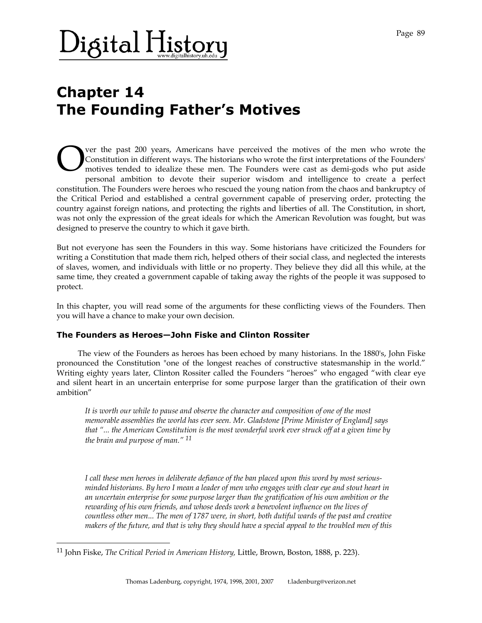# $\bm{\lambda}$ igital History

### **Chapter 14 The Founding Father's Motives**

ver the past 200 years, Americans have perceived the motives of the men who wrote the Constitution in different ways. The historians who wrote the first interpretations of the Founders' motives tended to idealize these men. The Founders were cast as demi-gods who put aside personal ambition to devote their superior wisdom and intelligence to create a perfect constitution. The Founders were heroes who rescued the young nation from the chaos and bankruptcy of the Critical Period and established a central government capable of preserving order, protecting the country against foreign nations, and protecting the rights and liberties of all. The Constitution, in short, was not only the expression of the great ideals for which the American Revolution was fought, but was designed to preserve the country to which it gave birth. O

But not everyone has seen the Founders in this way. Some historians have criticized the Founders for writing a Constitution that made them rich, helped others of their social class, and neglected the interests of slaves, women, and individuals with little or no property. They believe they did all this while, at the same time, they created a government capable of taking away the rights of the people it was supposed to protect.

In this chapter, you will read some of the arguments for these conflicting views of the Founders. Then you will have a chance to make your own decision.

#### **The Founders as Heroes—John Fiske and Clinton Rossiter**

 The view of the Founders as heroes has been echoed by many historians. In the 1880's, John Fiske pronounced the Constitution "one of the longest reaches of constructive statesmanship in the world." Writing eighty years later, Clinton Rossiter called the Founders "heroes" who engaged "with clear eye and silent heart in an uncertain enterprise for some purpose larger than the gratification of their own ambition"

*It is worth our while to pause and observe the character and composition of one of the most memorable assemblies the world has ever seen. Mr. Gladstone [Prime Minister of England] says that "... the American Constitution is the most wonderful work ever struck off at a given time by the brain and purpose of man." 11*

*I call these men heroes in deliberate defiance of the ban placed upon this word by most seriousminded historians. By hero I mean a leader of men who engages with clear eye and stout heart in an uncertain enterprise for some purpose larger than the gratification of his own ambition or the rewarding of his own friends, and whose deeds work a benevolent influence on the lives of countless other men... The men of 1787 were, in short, both dutiful wards of the past and creative makers of the future, and that is why they should have a special appeal to the troubled men of this* 

l

<sup>11</sup> John Fiske, *The Critical Period in American History,* Little, Brown, Boston, 1888, p. 223).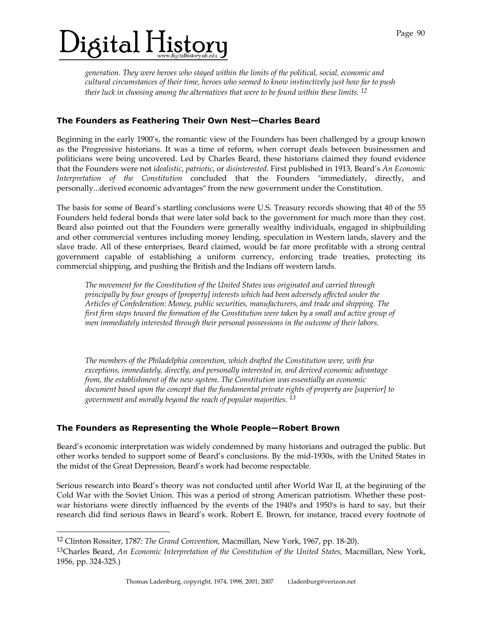# $\mathcal{V}$ igital History

*generation. They were heroes who stayed within the limits of the political, social, economic and cultural circumstances of their time, heroes who seemed to know instinctively just how far to push their luck in choosing among the alternatives that were to be found within these limits. 12*

#### **The Founders as Feathering Their Own Nest—Charles Beard**

Beginning in the early 1900's, the romantic view of the Founders has been challenged by a group known as the Progressive historians. It was a time of reform, when corrupt deals between businessmen and politicians were being uncovered. Led by Charles Beard, these historians claimed they found evidence that the Founders were not *idealistic*, *patriotic*, or *disinterested*. First published in 1913, Beard's *An Economic Interpretation of the Constitution* concluded that the Founders "immediately, directly, and personally...derived economic advantages" from the new government under the Constitution.

The basis for some of Beard's startling conclusions were U.S. Treasury records showing that 40 of the 55 Founders held federal bonds that were later sold back to the government for much more than they cost. Beard also pointed out that the Founders were generally wealthy individuals, engaged in shipbuilding and other commercial ventures including money lending, speculation in Western lands, slavery and the slave trade. All of these enterprises, Beard claimed, would be far more profitable with a strong central government capable of establishing a uniform currency, enforcing trade treaties, protecting its commercial shipping, and pushing the British and the Indians off western lands.

*The movement for the Constitution of the United States was originated and carried through principally by four groups of [property] interests which had been adversely affected under the Articles of Confederation: Money, public securities, manufacturers, and trade and shipping. The first firm steps toward the formation of the Constitution were taken by a small and active group of men immediately interested through their personal possessions in the outcome of their labors.* 

*The members of the Philadelphia convention, which drafted the Constitution were, with few exceptions, immediately, directly, and personally interested in, and derived economic advantage from, the establishment of the new system. The Constitution was essentially an economic document based upon the concept that the fundamental private rights of property are [superior] to government and morally beyond the reach of popular majorities. 13*

### **The Founders as Representing the Whole People—Robert Brown**

Beard's economic interpretation was widely condemned by many historians and outraged the public. But other works tended to support some of Beard's conclusions. By the mid-1930s, with the United States in the midst of the Great Depression, Beard's work had become respectable.

Serious research into Beard's theory was not conducted until after World War II, at the beginning of the Cold War with the Soviet Union. This was a period of strong American patriotism. Whether these postwar historians were directly influenced by the events of the 1940's and 1950's is hard to say, but their research did find serious flaws in Beard's work. Robert E. Brown, for instance, traced every footnote of

-

<sup>12</sup> Clinton Rossiter, 1787: *The Grand Convention,* Macmillan, New York, 1967, pp. 18-20).

<sup>13</sup>Charles Beard, *An Economic Interpretation of the Constitution of the United States,* Macmillan, New York, 1956, pp. 324-325.)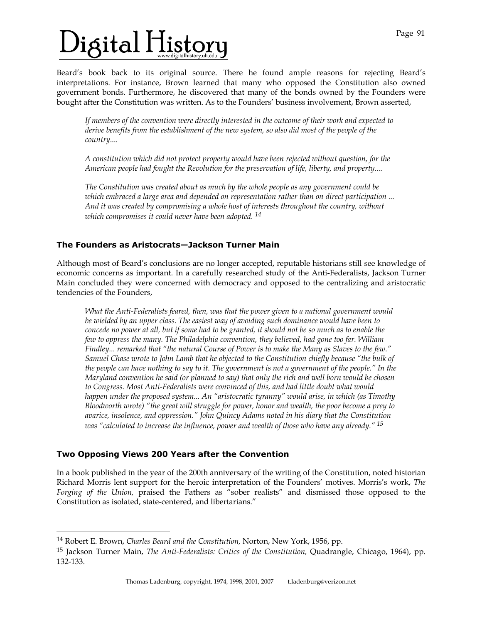# $\mathbf{b}$ igital History

Beard's book back to its original source. There he found ample reasons for rejecting Beard's interpretations. For instance, Brown learned that many who opposed the Constitution also owned government bonds. Furthermore, he discovered that many of the bonds owned by the Founders were bought after the Constitution was written. As to the Founders' business involvement, Brown asserted,

*If members of the convention were directly interested in the outcome of their work and expected to derive benefits from the establishment of the new system, so also did most of the people of the country....* 

*A constitution which did not protect property would have been rejected without question, for the American people had fought the Revolution for the preservation of life, liberty, and property....* 

*The Constitution was created about as much by the whole people as any government could be which embraced a large area and depended on representation rather than on direct participation ... And it was created by compromising a whole host of interests throughout the country, without which compromises it could never have been adopted. 14*

### **The Founders as Aristocrats—Jackson Turner Main**

Although most of Beard's conclusions are no longer accepted, reputable historians still see knowledge of economic concerns as important. In a carefully researched study of the Anti-Federalists, Jackson Turner Main concluded they were concerned with democracy and opposed to the centralizing and aristocratic tendencies of the Founders,

*What the Anti-Federalists feared, then, was that the power given to a national government would be wielded by an upper class. The easiest way of avoiding such dominance would have been to concede no power at all, but if some had to be granted, it should not be so much as to enable the few to oppress the many. The Philadelphia convention, they believed, had gone too far. William Findley... remarked that "the natural Course of Power is to make the Many as Slaves to the few." Samuel Chase wrote to John Lamb that he objected to the Constitution chiefly because "the bulk of the people can have nothing to say to it. The government is not a government of the people." In the Maryland convention he said (or planned to say) that only the rich and well born would be chosen to Congress. Most Anti-Federalists were convinced of this, and had little doubt what would happen under the proposed system... An "aristocratic tyranny" would arise, in which (as Timothy Bloodworth wrote) "the great will struggle for power, honor and wealth, the poor become a prey to avarice, insolence, and oppression." John Quincy Adams noted in his diary that the Constitution was "calculated to increase the influence, power and wealth of those who have any already." 15*

#### **Two Opposing Views 200 Years after the Convention**

l

In a book published in the year of the 200th anniversary of the writing of the Constitution, noted historian Richard Morris lent support for the heroic interpretation of the Founders' motives. Morris's work, *The Forging of the Union,* praised the Fathers as "sober realists" and dismissed those opposed to the Constitution as isolated, state-centered, and libertarians."

<sup>14</sup> Robert E. Brown, *Charles Beard and the Constitution,* Norton, New York, 1956, pp.

<sup>15</sup> Jackson Turner Main, *The Anti-Federalists: Critics of the Constitution,* Quadrangle, Chicago, 1964), pp. 132-133.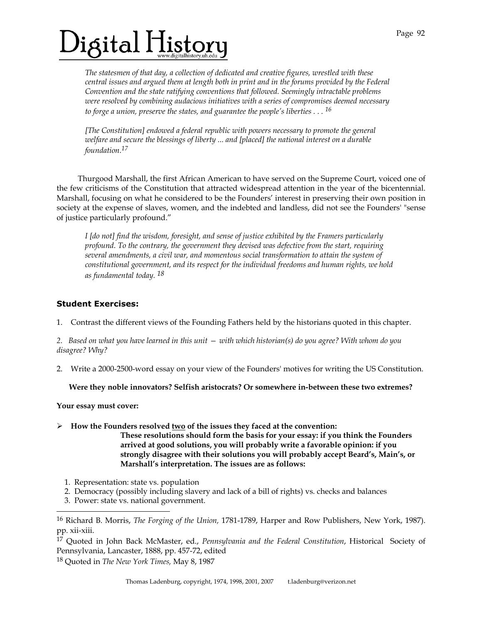# $\bm{\theta}$ igital History

*The statesmen of that day, a collection of dedicated and creative figures, wrestled with these central issues and argued them at length both in print and in the forums provided by the Federal Convention and the state ratifying conventions that followed. Seemingly intractable problems were resolved by combining audacious initiatives with a series of compromises deemed necessary to forge a union, preserve the states, and guarantee the people's liberties . . . 16*

*[The Constitution] endowed a federal republic with powers necessary to promote the general welfare and secure the blessings of liberty ... and [placed] the national interest on a durable foundation.17*

 Thurgood Marshall, the first African American to have served on the Supreme Court, voiced one of the few criticisms of the Constitution that attracted widespread attention in the year of the bicentennial. Marshall, focusing on what he considered to be the Founders' interest in preserving their own position in society at the expense of slaves, women, and the indebted and landless, did not see the Founders' "sense of justice particularly profound."

*I [do not] find the wisdom, foresight, and sense of justice exhibited by the Framers particularly profound. To the contrary, the government they devised was defective from the start, requiring several amendments, a civil war, and momentous social transformation to attain the system of constitutional government, and its respect for the individual freedoms and human rights, we hold as fundamental today. 18*

#### **Student Exercises:**

1. Contrast the different views of the Founding Fathers held by the historians quoted in this chapter.

*2. Based on what you have learned in this unit — with which historian(s) do you agree? With whom do you disagree? Why?* 

2. Write a 2000-2500-word essay on your view of the Founders' motives for writing the US Constitution.

#### **Were they noble innovators? Selfish aristocrats? Or somewhere in-between these two extremes?**

**Your essay must cover:** 

-

 $\triangleright$  How the Founders resolved <u>two</u> of the issues they faced at the convention:

**These resolutions should form the basis for your essay: if you think the Founders arrived at good solutions, you will probably write a favorable opinion: if you strongly disagree with their solutions you will probably accept Beard's, Main's, or Marshall's interpretation. The issues are as follows:** 

- 1. Representation: state vs. population
- 2. Democracy (possibly including slavery and lack of a bill of rights) vs. checks and balances
- 3. Power: state vs. national government.

<sup>16</sup> Richard B. Morris, *The Forging of the Union,* 1781-1789, Harper and Row Publishers, New York, 1987). pp. xii-xiii.

<sup>17</sup> Quoted in John Back McMaster, ed., *Pennsylvania and the Federal Constitution*, Historical Society of Pennsylvania, Lancaster, 1888, pp. 457-72, edited

<sup>18</sup> Quoted in *The New York Times,* May 8, 1987